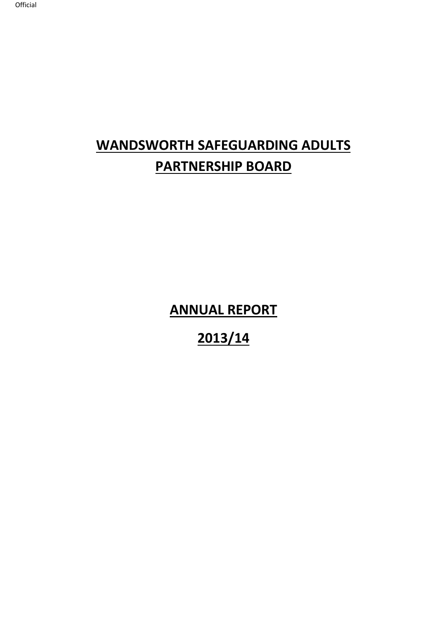# **WANDSWORTH SAFEGUARDING ADULTS PARTNERSHIP BOARD**

**ANNUAL REPORT** 

**2013/14**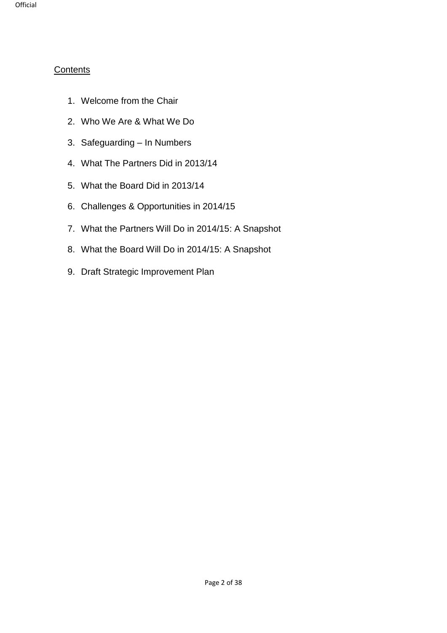### **Contents**

- 1. Welcome from the Chair
- 2. Who We Are & What We Do
- 3. Safeguarding In Numbers
- 4. What The Partners Did in 2013/14
- 5. What the Board Did in 2013/14
- 6. Challenges & Opportunities in 2014/15
- 7. What the Partners Will Do in 2014/15: A Snapshot
- 8. What the Board Will Do in 2014/15: A Snapshot
- 9. Draft Strategic Improvement Plan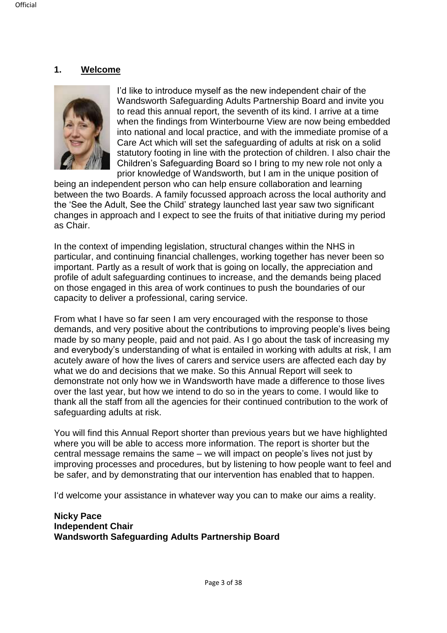#### **1. Welcome**



I'd like to introduce myself as the new independent chair of the Wandsworth Safeguarding Adults Partnership Board and invite you to read this annual report, the seventh of its kind. I arrive at a time when the findings from Winterbourne View are now being embedded into national and local practice, and with the immediate promise of a Care Act which will set the safeguarding of adults at risk on a solid statutory footing in line with the protection of children. I also chair the Children's Safeguarding Board so I bring to my new role not only a prior knowledge of Wandsworth, but I am in the unique position of

being an independent person who can help ensure collaboration and learning between the two Boards. A family focussed approach across the local authority and the 'See the Adult, See the Child' strategy launched last year saw two significant changes in approach and I expect to see the fruits of that initiative during my period as Chair.

In the context of impending legislation, structural changes within the NHS in particular, and continuing financial challenges, working together has never been so important. Partly as a result of work that is going on locally, the appreciation and profile of adult safeguarding continues to increase, and the demands being placed on those engaged in this area of work continues to push the boundaries of our capacity to deliver a professional, caring service.

From what I have so far seen I am very encouraged with the response to those demands, and very positive about the contributions to improving people's lives being made by so many people, paid and not paid. As I go about the task of increasing my and everybody's understanding of what is entailed in working with adults at risk, I am acutely aware of how the lives of carers and service users are affected each day by what we do and decisions that we make. So this Annual Report will seek to demonstrate not only how we in Wandsworth have made a difference to those lives over the last year, but how we intend to do so in the years to come. I would like to thank all the staff from all the agencies for their continued contribution to the work of safeguarding adults at risk.

You will find this Annual Report shorter than previous years but we have highlighted where you will be able to access more information. The report is shorter but the central message remains the same – we will impact on people's lives not just by improving processes and procedures, but by listening to how people want to feel and be safer, and by demonstrating that our intervention has enabled that to happen.

I'd welcome your assistance in whatever way you can to make our aims a reality.

#### **Nicky Pace Independent Chair Wandsworth Safeguarding Adults Partnership Board**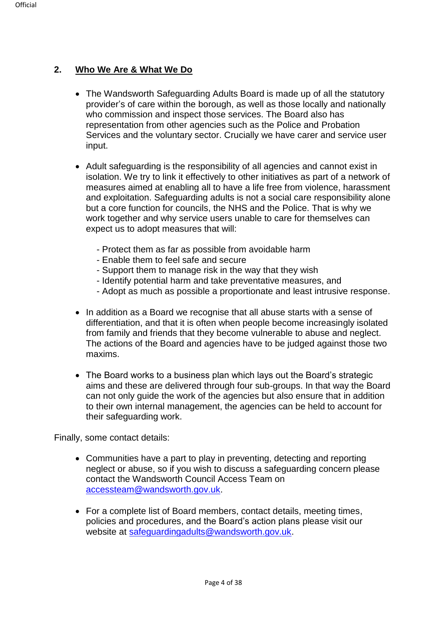## **2. Who We Are & What We Do**

- The Wandsworth Safeguarding Adults Board is made up of all the statutory provider's of care within the borough, as well as those locally and nationally who commission and inspect those services. The Board also has representation from other agencies such as the Police and Probation Services and the voluntary sector. Crucially we have carer and service user input.
- Adult safeguarding is the responsibility of all agencies and cannot exist in isolation. We try to link it effectively to other initiatives as part of a network of measures aimed at enabling all to have a life free from violence, harassment and exploitation. Safeguarding adults is not a social care responsibility alone but a core function for councils, the NHS and the Police. That is why we work together and why service users unable to care for themselves can expect us to adopt measures that will:
	- Protect them as far as possible from avoidable harm
	- Enable them to feel safe and secure
	- Support them to manage risk in the way that they wish
	- Identify potential harm and take preventative measures, and
	- Adopt as much as possible a proportionate and least intrusive response.
- In addition as a Board we recognise that all abuse starts with a sense of differentiation, and that it is often when people become increasingly isolated from family and friends that they become vulnerable to abuse and neglect. The actions of the Board and agencies have to be judged against those two maxims.
- The Board works to a business plan which lays out the Board's strategic aims and these are delivered through four sub-groups. In that way the Board can not only guide the work of the agencies but also ensure that in addition to their own internal management, the agencies can be held to account for their safeguarding work.

Finally, some contact details:

- Communities have a part to play in preventing, detecting and reporting neglect or abuse, so if you wish to discuss a safeguarding concern please contact the Wandsworth Council Access Team on [accessteam@wandsworth.gov.uk.](mailto:accessteam@wandsworth.gov.uk)
- For a complete list of Board members, contact details, meeting times, policies and procedures, and the Board's action plans please visit our website at [safeguardingadults@wandsworth.gov.uk.](mailto:safeguardingadults@wandsworth.gov.uk)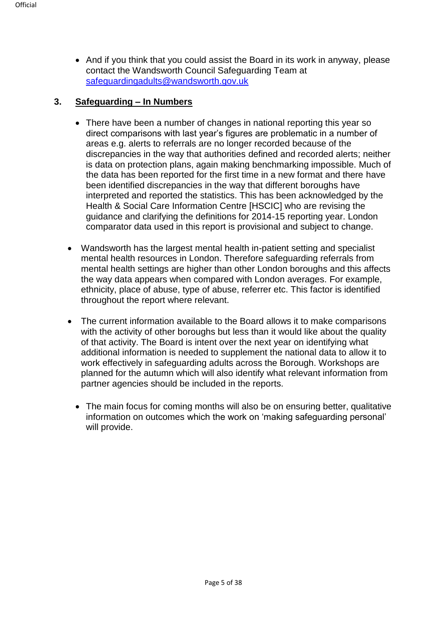• And if you think that you could assist the Board in its work in anyway, please contact the Wandsworth Council Safeguarding Team at [safeguardingadults@wandsworth.gov.uk](mailto:safeguardingadults@wandsworth.gov.uk) 

#### **3. Safeguarding – In Numbers**

- There have been a number of changes in national reporting this year so direct comparisons with last year's figures are problematic in a number of areas e.g. alerts to referrals are no longer recorded because of the discrepancies in the way that authorities defined and recorded alerts; neither is data on protection plans, again making benchmarking impossible. Much of the data has been reported for the first time in a new format and there have been identified discrepancies in the way that different boroughs have interpreted and reported the statistics. This has been acknowledged by the Health & Social Care Information Centre [HSCIC] who are revising the guidance and clarifying the definitions for 2014-15 reporting year. London comparator data used in this report is provisional and subject to change.
- Wandsworth has the largest mental health in-patient setting and specialist mental health resources in London. Therefore safeguarding referrals from mental health settings are higher than other London boroughs and this affects the way data appears when compared with London averages. For example, ethnicity, place of abuse, type of abuse, referrer etc. This factor is identified throughout the report where relevant.
- The current information available to the Board allows it to make comparisons with the activity of other boroughs but less than it would like about the quality of that activity. The Board is intent over the next year on identifying what additional information is needed to supplement the national data to allow it to work effectively in safeguarding adults across the Borough. Workshops are planned for the autumn which will also identify what relevant information from partner agencies should be included in the reports.
	- The main focus for coming months will also be on ensuring better, qualitative information on outcomes which the work on 'making safeguarding personal' will provide.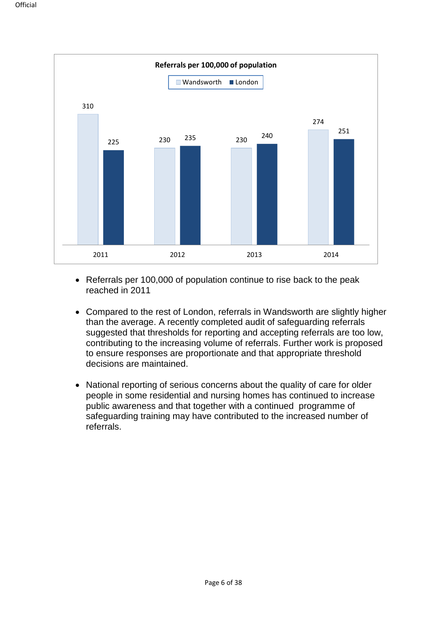

- Referrals per 100,000 of population continue to rise back to the peak reached in 2011
- Compared to the rest of London, referrals in Wandsworth are slightly higher than the average. A recently completed audit of safeguarding referrals suggested that thresholds for reporting and accepting referrals are too low, contributing to the increasing volume of referrals. Further work is proposed to ensure responses are proportionate and that appropriate threshold decisions are maintained.
- National reporting of serious concerns about the quality of care for older people in some residential and nursing homes has continued to increase public awareness and that together with a continued programme of safeguarding training may have contributed to the increased number of referrals.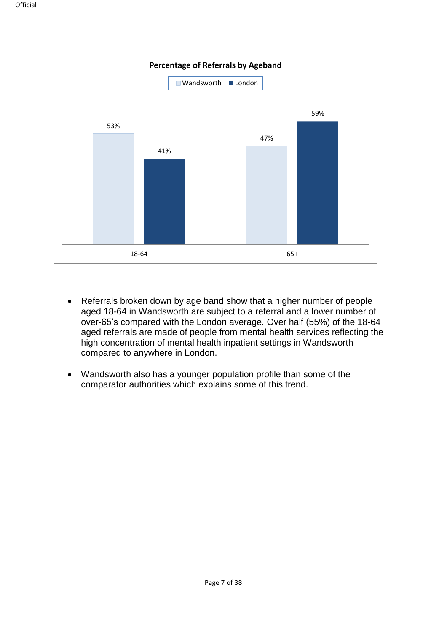

- Referrals broken down by age band show that a higher number of people aged 18-64 in Wandsworth are subject to a referral and a lower number of over-65's compared with the London average. Over half (55%) of the 18-64 aged referrals are made of people from mental health services reflecting the high concentration of mental health inpatient settings in Wandsworth compared to anywhere in London.
- Wandsworth also has a younger population profile than some of the comparator authorities which explains some of this trend.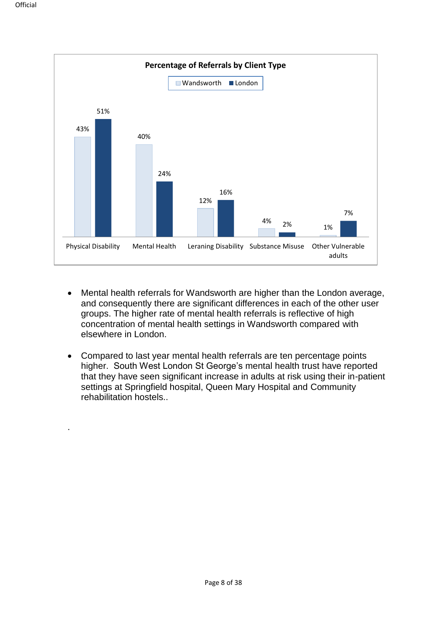.



- Mental health referrals for Wandsworth are higher than the London average, and consequently there are significant differences in each of the other user groups. The higher rate of mental health referrals is reflective of high concentration of mental health settings in Wandsworth compared with elsewhere in London.
- Compared to last year mental health referrals are ten percentage points higher. South West London St George's mental health trust have reported that they have seen significant increase in adults at risk using their in-patient settings at Springfield hospital, Queen Mary Hospital and Community rehabilitation hostels..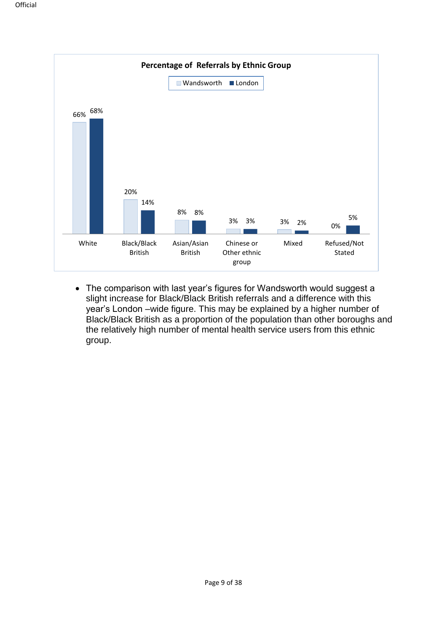

• The comparison with last year's figures for Wandsworth would suggest a slight increase for Black/Black British referrals and a difference with this year's London –wide figure. This may be explained by a higher number of Black/Black British as a proportion of the population than other boroughs and the relatively high number of mental health service users from this ethnic group.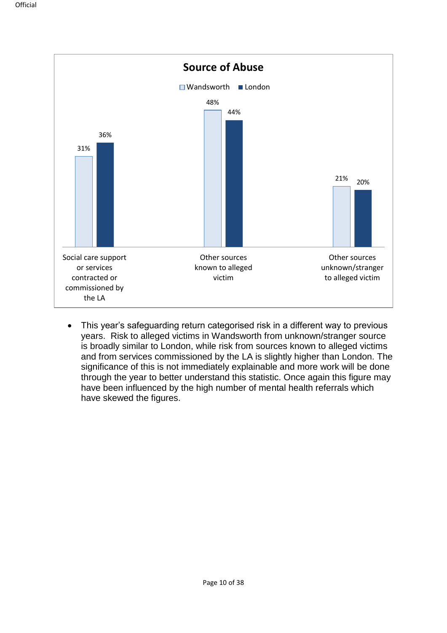

• This year's safeguarding return categorised risk in a different way to previous years. Risk to alleged victims in Wandsworth from unknown/stranger source is broadly similar to London, while risk from sources known to alleged victims and from services commissioned by the LA is slightly higher than London. The significance of this is not immediately explainable and more work will be done through the year to better understand this statistic. Once again this figure may have been influenced by the high number of mental health referrals which have skewed the figures.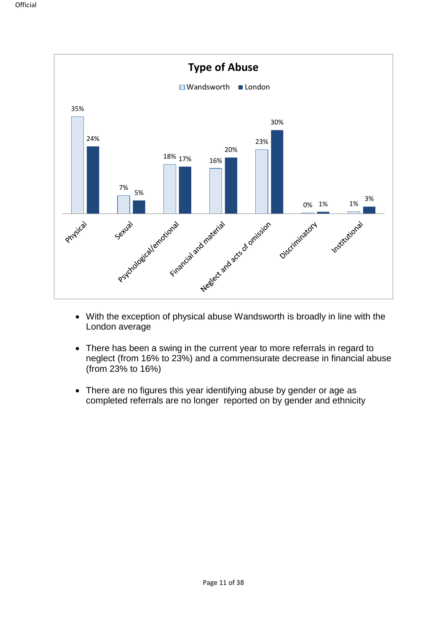

- With the exception of physical abuse Wandsworth is broadly in line with the London average
- There has been a swing in the current year to more referrals in regard to neglect (from 16% to 23%) and a commensurate decrease in financial abuse (from 23% to 16%)
- There are no figures this year identifying abuse by gender or age as completed referrals are no longer reported on by gender and ethnicity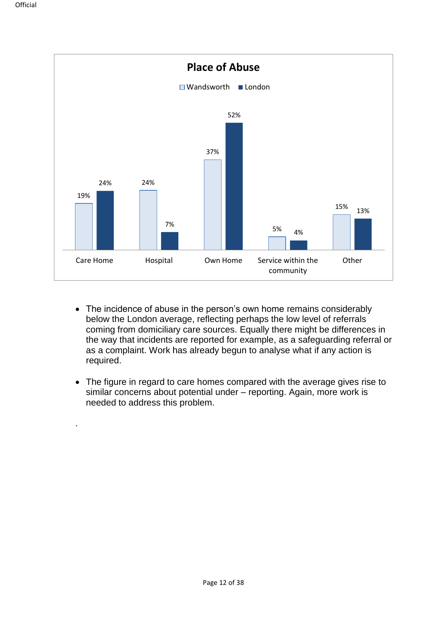.



- The incidence of abuse in the person's own home remains considerably below the London average, reflecting perhaps the low level of referrals coming from domiciliary care sources. Equally there might be differences in the way that incidents are reported for example, as a safeguarding referral or as a complaint. Work has already begun to analyse what if any action is required.
- The figure in regard to care homes compared with the average gives rise to similar concerns about potential under – reporting. Again, more work is needed to address this problem.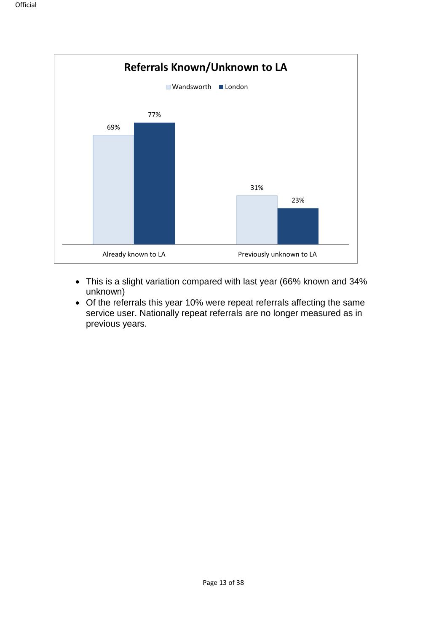

- This is a slight variation compared with last year (66% known and 34% unknown)
- Of the referrals this year 10% were repeat referrals affecting the same service user. Nationally repeat referrals are no longer measured as in previous years.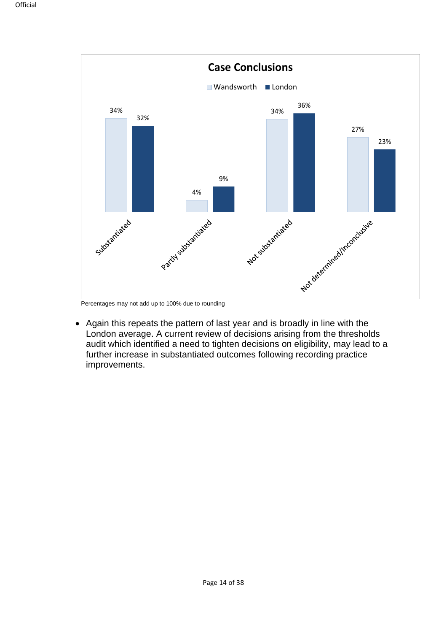

Percentages may not add up to 100% due to rounding

• Again this repeats the pattern of last year and is broadly in line with the London average. A current review of decisions arising from the thresholds audit which identified a need to tighten decisions on eligibility, may lead to a further increase in substantiated outcomes following recording practice improvements.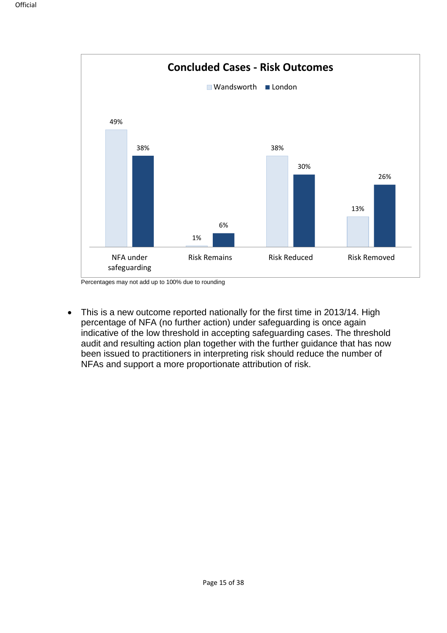

Percentages may not add up to 100% due to rounding

• This is a new outcome reported nationally for the first time in 2013/14. High percentage of NFA (no further action) under safeguarding is once again indicative of the low threshold in accepting safeguarding cases. The threshold audit and resulting action plan together with the further guidance that has now been issued to practitioners in interpreting risk should reduce the number of NFAs and support a more proportionate attribution of risk.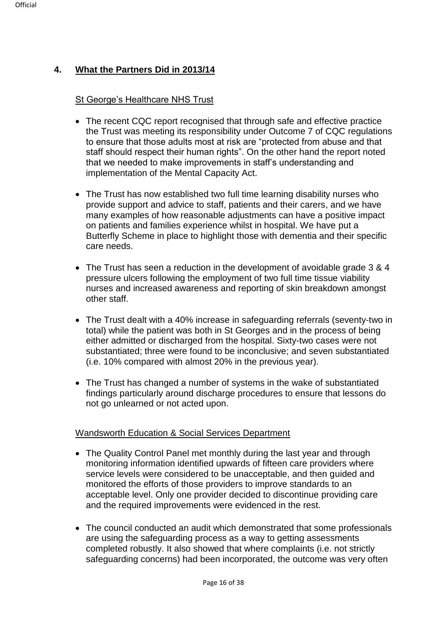# **4. What the Partners Did in 2013/14**

#### St George's Healthcare NHS Trust

- The recent CQC report recognised that through safe and effective practice the Trust was meeting its responsibility under Outcome 7 of CQC regulations to ensure that those adults most at risk are "protected from abuse and that staff should respect their human rights". On the other hand the report noted that we needed to make improvements in staff's understanding and implementation of the Mental Capacity Act.
- The Trust has now established two full time learning disability nurses who provide support and advice to staff, patients and their carers, and we have many examples of how reasonable adjustments can have a positive impact on patients and families experience whilst in hospital. We have put a Butterfly Scheme in place to highlight those with dementia and their specific care needs.
- The Trust has seen a reduction in the development of avoidable grade 3 & 4 pressure ulcers following the employment of two full time tissue viability nurses and increased awareness and reporting of skin breakdown amongst other staff.
- The Trust dealt with a 40% increase in safeguarding referrals (seventy-two in total) while the patient was both in St Georges and in the process of being either admitted or discharged from the hospital. Sixty-two cases were not substantiated; three were found to be inconclusive; and seven substantiated (i.e. 10% compared with almost 20% in the previous year).
- The Trust has changed a number of systems in the wake of substantiated findings particularly around discharge procedures to ensure that lessons do not go unlearned or not acted upon.

#### Wandsworth Education & Social Services Department

- The Quality Control Panel met monthly during the last year and through monitoring information identified upwards of fifteen care providers where service levels were considered to be unacceptable, and then guided and monitored the efforts of those providers to improve standards to an acceptable level. Only one provider decided to discontinue providing care and the required improvements were evidenced in the rest.
- The council conducted an audit which demonstrated that some professionals are using the safeguarding process as a way to getting assessments completed robustly. It also showed that where complaints (i.e. not strictly safeguarding concerns) had been incorporated, the outcome was very often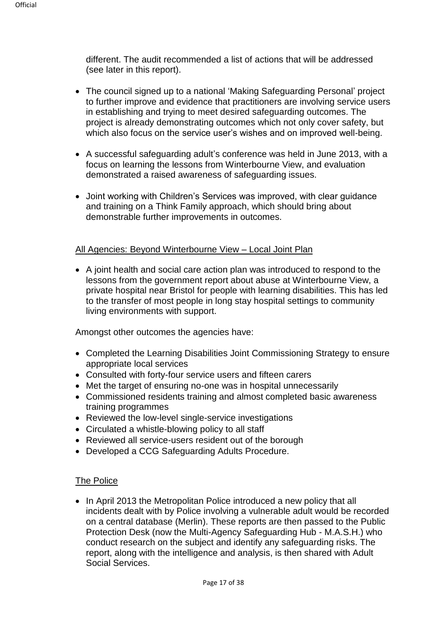different. The audit recommended a list of actions that will be addressed (see later in this report).

- The council signed up to a national 'Making Safeguarding Personal' project to further improve and evidence that practitioners are involving service users in establishing and trying to meet desired safeguarding outcomes. The project is already demonstrating outcomes which not only cover safety, but which also focus on the service user's wishes and on improved well-being.
- A successful safeguarding adult's conference was held in June 2013, with a focus on learning the lessons from Winterbourne View, and evaluation demonstrated a raised awareness of safeguarding issues.
- Joint working with Children's Services was improved, with clear guidance and training on a Think Family approach, which should bring about demonstrable further improvements in outcomes.

#### All Agencies: Beyond Winterbourne View – Local Joint Plan

• A joint health and social care action plan was introduced to respond to the lessons from the government report about abuse at Winterbourne View, a private hospital near Bristol for people with learning disabilities. This has led to the transfer of most people in long stay hospital settings to community living environments with support.

Amongst other outcomes the agencies have:

- Completed the Learning Disabilities Joint Commissioning Strategy to ensure appropriate local services
- Consulted with forty-four service users and fifteen carers
- Met the target of ensuring no-one was in hospital unnecessarily
- Commissioned residents training and almost completed basic awareness training programmes
- Reviewed the low-level single-service investigations
- Circulated a whistle-blowing policy to all staff
- Reviewed all service-users resident out of the borough
- Developed a CCG Safeguarding Adults Procedure.

#### The Police

• In April 2013 the Metropolitan Police introduced a new policy that all incidents dealt with by Police involving a vulnerable adult would be recorded on a central database (Merlin). These reports are then passed to the Public Protection Desk (now the Multi-Agency Safeguarding Hub - M.A.S.H.) who conduct research on the subject and identify any safeguarding risks. The report, along with the intelligence and analysis, is then shared with Adult Social Services.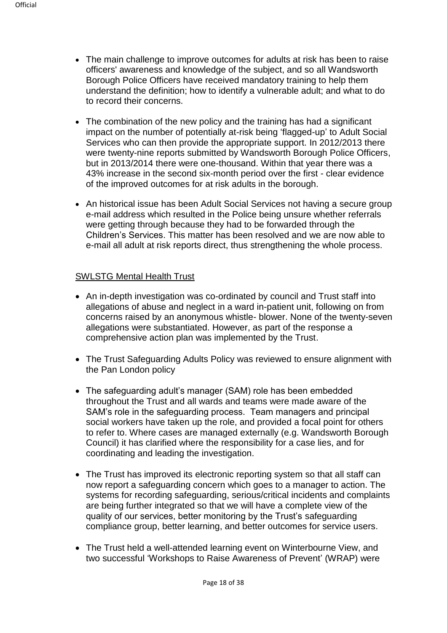- The main challenge to improve outcomes for adults at risk has been to raise officers' awareness and knowledge of the subject, and so all Wandsworth Borough Police Officers have received mandatory training to help them understand the definition; how to identify a vulnerable adult; and what to do to record their concerns.
- The combination of the new policy and the training has had a significant impact on the number of potentially at-risk being 'flagged-up' to Adult Social Services who can then provide the appropriate support. In 2012/2013 there were twenty-nine reports submitted by Wandsworth Borough Police Officers, but in 2013/2014 there were one-thousand. Within that year there was a 43% increase in the second six-month period over the first - clear evidence of the improved outcomes for at risk adults in the borough.
- An historical issue has been Adult Social Services not having a secure group e-mail address which resulted in the Police being unsure whether referrals were getting through because they had to be forwarded through the Children's Services. This matter has been resolved and we are now able to e-mail all adult at risk reports direct, thus strengthening the whole process.

#### SWLSTG Mental Health Trust

- An in-depth investigation was co-ordinated by council and Trust staff into allegations of abuse and neglect in a ward in-patient unit, following on from concerns raised by an anonymous whistle- blower. None of the twenty-seven allegations were substantiated. However, as part of the response a comprehensive action plan was implemented by the Trust.
- The Trust Safeguarding Adults Policy was reviewed to ensure alignment with the Pan London policy
- The safeguarding adult's manager (SAM) role has been embedded throughout the Trust and all wards and teams were made aware of the SAM's role in the safeguarding process. Team managers and principal social workers have taken up the role, and provided a focal point for others to refer to. Where cases are managed externally (e.g. Wandsworth Borough Council) it has clarified where the responsibility for a case lies, and for coordinating and leading the investigation.
- The Trust has improved its electronic reporting system so that all staff can now report a safeguarding concern which goes to a manager to action. The systems for recording safeguarding, serious/critical incidents and complaints are being further integrated so that we will have a complete view of the quality of our services, better monitoring by the Trust's safeguarding compliance group, better learning, and better outcomes for service users.
- The Trust held a well-attended learning event on Winterbourne View, and two successful 'Workshops to Raise Awareness of Prevent' (WRAP) were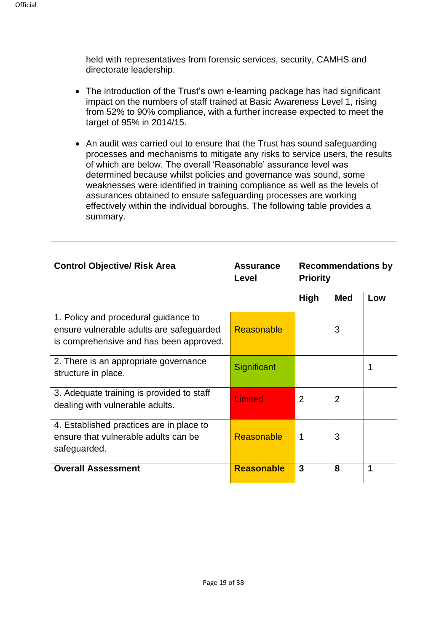held with representatives from forensic services, security, CAMHS and directorate leadership.

- The introduction of the Trust's own e-learning package has had significant impact on the numbers of staff trained at Basic Awareness Level 1, rising from 52% to 90% compliance, with a further increase expected to meet the target of 95% in 2014/15.
- An audit was carried out to ensure that the Trust has sound safeguarding processes and mechanisms to mitigate any risks to service users, the results of which are below. The overall 'Reasonable' assurance level was determined because whilst policies and governance was sound, some weaknesses were identified in training compliance as well as the levels of assurances obtained to ensure safeguarding processes are working effectively within the individual boroughs. The following table provides a summary.

| <b>Control Objective/ Risk Area</b>                                                                                         | <b>Assurance</b><br>Level | <b>Recommendations by</b><br><b>Priority</b> |                |     |
|-----------------------------------------------------------------------------------------------------------------------------|---------------------------|----------------------------------------------|----------------|-----|
|                                                                                                                             |                           | <b>High</b>                                  | <b>Med</b>     | Low |
| 1. Policy and procedural guidance to<br>ensure vulnerable adults are safeguarded<br>is comprehensive and has been approved. | Reasonable                |                                              | 3              |     |
| 2. There is an appropriate governance<br>structure in place.                                                                | Significant               |                                              |                |     |
| 3. Adequate training is provided to staff<br>dealing with vulnerable adults.                                                | <b>Limited</b>            | 2                                            | $\overline{2}$ |     |
| 4. Established practices are in place to<br>ensure that vulnerable adults can be<br>safeguarded.                            | Reasonable                | 1                                            | 3              |     |
| <b>Overall Assessment</b>                                                                                                   | <b>Reasonable</b>         | 3                                            | 8              | 1   |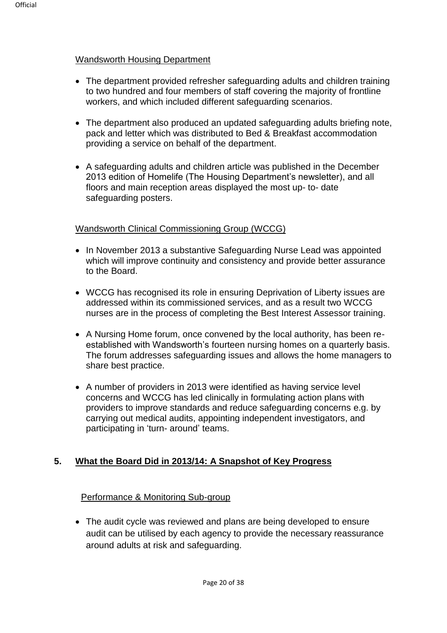#### Wandsworth Housing Department

- The department provided refresher safeguarding adults and children training to two hundred and four members of staff covering the majority of frontline workers, and which included different safeguarding scenarios.
- The department also produced an updated safeguarding adults briefing note, pack and letter which was distributed to Bed & Breakfast accommodation providing a service on behalf of the department.
- A safeguarding adults and children article was published in the December 2013 edition of Homelife (The Housing Department's newsletter), and all floors and main reception areas displayed the most up- to- date safeguarding posters.

#### Wandsworth Clinical Commissioning Group (WCCG)

- In November 2013 a substantive Safeguarding Nurse Lead was appointed which will improve continuity and consistency and provide better assurance to the Board.
- WCCG has recognised its role in ensuring Deprivation of Liberty issues are addressed within its commissioned services, and as a result two WCCG nurses are in the process of completing the Best Interest Assessor training.
- A Nursing Home forum, once convened by the local authority, has been reestablished with Wandsworth's fourteen nursing homes on a quarterly basis. The forum addresses safeguarding issues and allows the home managers to share best practice.
- A number of providers in 2013 were identified as having service level concerns and WCCG has led clinically in formulating action plans with providers to improve standards and reduce safeguarding concerns e.g. by carrying out medical audits, appointing independent investigators, and participating in 'turn- around' teams.

#### **5. What the Board Did in 2013/14: A Snapshot of Key Progress**

#### Performance & Monitoring Sub-group

• The audit cycle was reviewed and plans are being developed to ensure audit can be utilised by each agency to provide the necessary reassurance around adults at risk and safeguarding.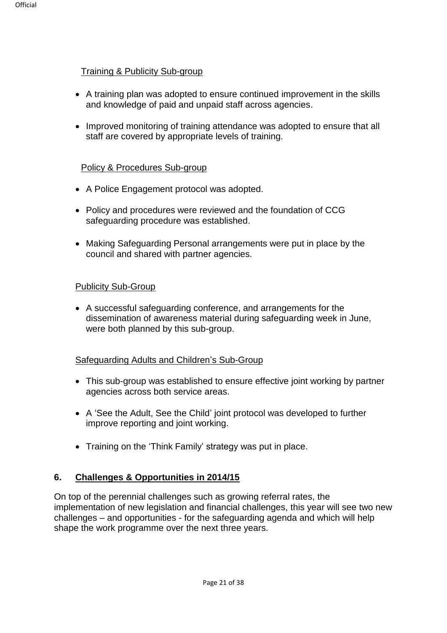#### Training & Publicity Sub-group

- A training plan was adopted to ensure continued improvement in the skills and knowledge of paid and unpaid staff across agencies.
- Improved monitoring of training attendance was adopted to ensure that all staff are covered by appropriate levels of training.

#### Policy & Procedures Sub-group

- A Police Engagement protocol was adopted.
- Policy and procedures were reviewed and the foundation of CCG safeguarding procedure was established.
- Making Safeguarding Personal arrangements were put in place by the council and shared with partner agencies.

#### Publicity Sub-Group

• A successful safeguarding conference, and arrangements for the dissemination of awareness material during safeguarding week in June, were both planned by this sub-group.

#### Safeguarding Adults and Children's Sub-Group

- This sub-group was established to ensure effective joint working by partner agencies across both service areas.
- A 'See the Adult, See the Child' joint protocol was developed to further improve reporting and joint working.
- Training on the 'Think Family' strategy was put in place.

#### **6. Challenges & Opportunities in 2014/15**

On top of the perennial challenges such as growing referral rates, the implementation of new legislation and financial challenges, this year will see two new challenges – and opportunities - for the safeguarding agenda and which will help shape the work programme over the next three years.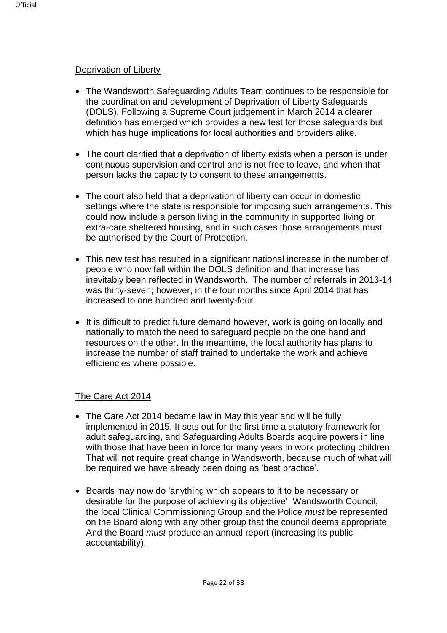#### Deprivation of Liberty

- The Wandsworth Safeguarding Adults Team continues to be responsible for the coordination and development of Deprivation of Liberty Safeguards (DOLS). Following a Supreme Court judgement in March 2014 a clearer definition has emerged which provides a new test for those safeguards but which has huge implications for local authorities and providers alike.
- The court clarified that a deprivation of liberty exists when a person is under continuous supervision and control and is not free to leave, and when that person lacks the capacity to consent to these arrangements.
- The court also held that a deprivation of liberty can occur in domestic settings where the state is responsible for imposing such arrangements. This could now include a person living in the community in supported living or extra-care sheltered housing, and in such cases those arrangements must be authorised by the Court of Protection.
- This new test has resulted in a significant national increase in the number of people who now fall within the DOLS definition and that increase has inevitably been reflected in Wandsworth. The number of referrals in 2013-14 was thirty-seven; however, in the four months since April 2014 that has increased to one hundred and twenty-four.
- It is difficult to predict future demand however, work is going on locally and nationally to match the need to safeguard people on the one hand and resources on the other. In the meantime, the local authority has plans to increase the number of staff trained to undertake the work and achieve efficiencies where possible.

#### The Care Act 2014

- The Care Act 2014 became law in May this year and will be fully implemented in 2015. It sets out for the first time a statutory framework for adult safeguarding, and Safeguarding Adults Boards acquire powers in line with those that have been in force for many years in work protecting children. That will not require great change in Wandsworth, because much of what will be required we have already been doing as 'best practice'.
- Boards may now do 'anything which appears to it to be necessary or desirable for the purpose of achieving its objective'. Wandsworth Council, the local Clinical Commissioning Group and the Police *must* be represented on the Board along with any other group that the council deems appropriate. And the Board *must* produce an annual report (increasing its public accountability).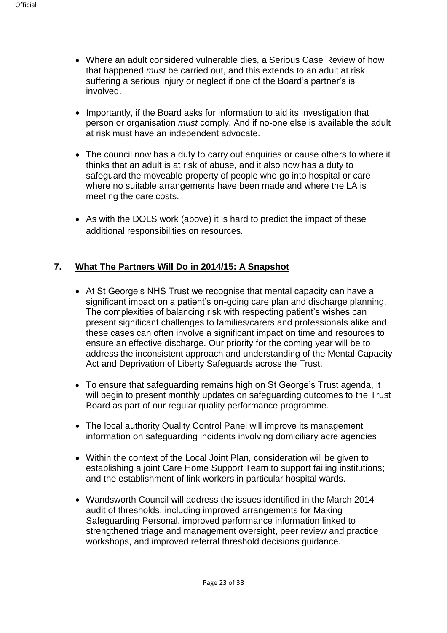- Where an adult considered vulnerable dies, a Serious Case Review of how that happened *must* be carried out, and this extends to an adult at risk suffering a serious injury or neglect if one of the Board's partner's is involved.
- Importantly, if the Board asks for information to aid its investigation that person or organisation *must* comply. And if no-one else is available the adult at risk must have an independent advocate.
- The council now has a duty to carry out enquiries or cause others to where it thinks that an adult is at risk of abuse, and it also now has a duty to safeguard the moveable property of people who go into hospital or care where no suitable arrangements have been made and where the LA is meeting the care costs.
- As with the DOLS work (above) it is hard to predict the impact of these additional responsibilities on resources.

#### **7. What The Partners Will Do in 2014/15: A Snapshot**

- At St George's NHS Trust we recognise that mental capacity can have a significant impact on a patient's on-going care plan and discharge planning. The complexities of balancing risk with respecting patient's wishes can present significant challenges to families/carers and professionals alike and these cases can often involve a significant impact on time and resources to ensure an effective discharge. Our priority for the coming year will be to address the inconsistent approach and understanding of the Mental Capacity Act and Deprivation of Liberty Safeguards across the Trust.
- To ensure that safeguarding remains high on St George's Trust agenda, it will begin to present monthly updates on safeguarding outcomes to the Trust Board as part of our regular quality performance programme.
- The local authority Quality Control Panel will improve its management information on safeguarding incidents involving domiciliary acre agencies
- Within the context of the Local Joint Plan, consideration will be given to establishing a joint Care Home Support Team to support failing institutions; and the establishment of link workers in particular hospital wards.
- Wandsworth Council will address the issues identified in the March 2014 audit of thresholds, including improved arrangements for Making Safeguarding Personal, improved performance information linked to strengthened triage and management oversight, peer review and practice workshops, and improved referral threshold decisions guidance.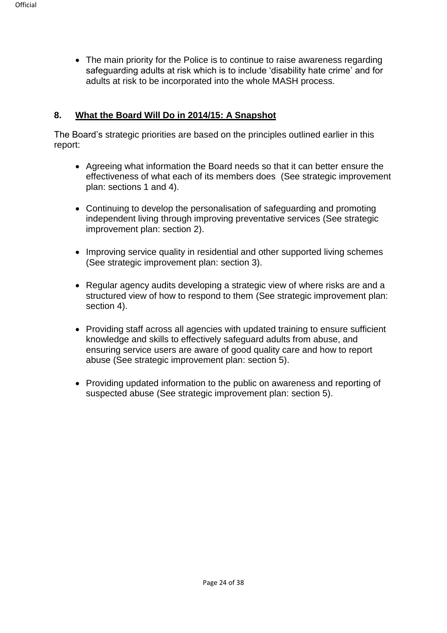• The main priority for the Police is to continue to raise awareness regarding safeguarding adults at risk which is to include 'disability hate crime' and for adults at risk to be incorporated into the whole MASH process.

#### **8. What the Board Will Do in 2014/15: A Snapshot**

The Board's strategic priorities are based on the principles outlined earlier in this report:

- Agreeing what information the Board needs so that it can better ensure the effectiveness of what each of its members does (See strategic improvement plan: sections 1 and 4).
- Continuing to develop the personalisation of safeguarding and promoting independent living through improving preventative services (See strategic improvement plan: section 2).
- Improving service quality in residential and other supported living schemes (See strategic improvement plan: section 3).
- Regular agency audits developing a strategic view of where risks are and a structured view of how to respond to them (See strategic improvement plan: section 4).
- Providing staff across all agencies with updated training to ensure sufficient knowledge and skills to effectively safeguard adults from abuse, and ensuring service users are aware of good quality care and how to report abuse (See strategic improvement plan: section 5).
- Providing updated information to the public on awareness and reporting of suspected abuse (See strategic improvement plan: section 5).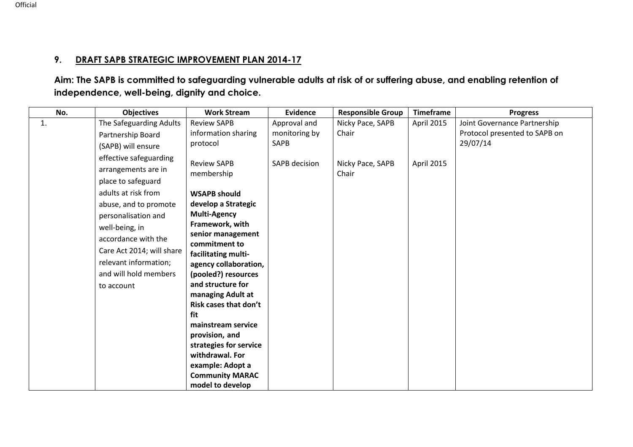# **9. DRAFT SAPB STRATEGIC IMPROVEMENT PLAN 2014-17**

**Aim: The SAPB is committed to safeguarding vulnerable adults at risk of or suffering abuse, and enabling retention of independence, well-being, dignity and choice.** 

| No.            | <b>Objectives</b>         | <b>Work Stream</b>                   | <b>Evidence</b>      | <b>Responsible Group</b> | <b>Timeframe</b> | <b>Progress</b>               |
|----------------|---------------------------|--------------------------------------|----------------------|--------------------------|------------------|-------------------------------|
| $\mathbf{1}$ . | The Safeguarding Adults   | <b>Review SAPB</b>                   | Approval and         | Nicky Pace, SAPB         | April 2015       | Joint Governance Partnership  |
|                | Partnership Board         | information sharing                  | monitoring by        | Chair                    |                  | Protocol presented to SAPB on |
|                | (SAPB) will ensure        | protocol                             | <b>SAPB</b>          |                          |                  | 29/07/14                      |
|                | effective safeguarding    | <b>Review SAPB</b>                   | <b>SAPB</b> decision | Nicky Pace, SAPB         | April 2015       |                               |
|                | arrangements are in       | membership                           |                      | Chair                    |                  |                               |
|                | place to safeguard        |                                      |                      |                          |                  |                               |
|                | adults at risk from       | <b>WSAPB should</b>                  |                      |                          |                  |                               |
|                | abuse, and to promote     | develop a Strategic                  |                      |                          |                  |                               |
|                | personalisation and       | <b>Multi-Agency</b>                  |                      |                          |                  |                               |
|                | well-being, in            | Framework, with                      |                      |                          |                  |                               |
|                | accordance with the       | senior management                    |                      |                          |                  |                               |
|                | Care Act 2014; will share | commitment to<br>facilitating multi- |                      |                          |                  |                               |
|                | relevant information;     | agency collaboration,                |                      |                          |                  |                               |
|                | and will hold members     | (pooled?) resources                  |                      |                          |                  |                               |
|                | to account                | and structure for                    |                      |                          |                  |                               |
|                |                           | managing Adult at                    |                      |                          |                  |                               |
|                |                           | Risk cases that don't                |                      |                          |                  |                               |
|                |                           | fit                                  |                      |                          |                  |                               |
|                |                           | mainstream service                   |                      |                          |                  |                               |
|                |                           | provision, and                       |                      |                          |                  |                               |
|                |                           | strategies for service               |                      |                          |                  |                               |
|                |                           | withdrawal. For                      |                      |                          |                  |                               |
|                |                           | example: Adopt a                     |                      |                          |                  |                               |
|                |                           | <b>Community MARAC</b>               |                      |                          |                  |                               |
|                |                           | model to develop                     |                      |                          |                  |                               |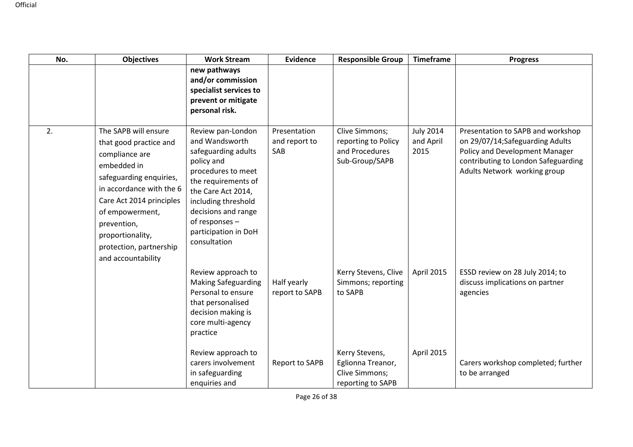| No. | <b>Objectives</b>                                                                                                                                                                                                                                                         | <b>Work Stream</b>                                                                                                                                                                                                                                  | <b>Evidence</b>                      | <b>Responsible Group</b>                                                   | Timeframe                             | <b>Progress</b>                                                                                                                                                               |
|-----|---------------------------------------------------------------------------------------------------------------------------------------------------------------------------------------------------------------------------------------------------------------------------|-----------------------------------------------------------------------------------------------------------------------------------------------------------------------------------------------------------------------------------------------------|--------------------------------------|----------------------------------------------------------------------------|---------------------------------------|-------------------------------------------------------------------------------------------------------------------------------------------------------------------------------|
|     |                                                                                                                                                                                                                                                                           | new pathways<br>and/or commission<br>specialist services to<br>prevent or mitigate<br>personal risk.                                                                                                                                                |                                      |                                                                            |                                       |                                                                                                                                                                               |
| 2.  | The SAPB will ensure<br>that good practice and<br>compliance are<br>embedded in<br>safeguarding enquiries,<br>in accordance with the 6<br>Care Act 2014 principles<br>of empowerment,<br>prevention,<br>proportionality,<br>protection, partnership<br>and accountability | Review pan-London<br>and Wandsworth<br>safeguarding adults<br>policy and<br>procedures to meet<br>the requirements of<br>the Care Act 2014,<br>including threshold<br>decisions and range<br>of responses -<br>participation in DoH<br>consultation | Presentation<br>and report to<br>SAB | Clive Simmons;<br>reporting to Policy<br>and Procedures<br>Sub-Group/SAPB  | <b>July 2014</b><br>and April<br>2015 | Presentation to SAPB and workshop<br>on 29/07/14;Safeguarding Adults<br>Policy and Development Manager<br>contributing to London Safeguarding<br>Adults Network working group |
|     |                                                                                                                                                                                                                                                                           | Review approach to<br><b>Making Safeguarding</b><br>Personal to ensure<br>that personalised<br>decision making is<br>core multi-agency<br>practice                                                                                                  | Half yearly<br>report to SAPB        | Kerry Stevens, Clive<br>Simmons; reporting<br>to SAPB                      | April 2015                            | ESSD review on 28 July 2014; to<br>discuss implications on partner<br>agencies                                                                                                |
|     |                                                                                                                                                                                                                                                                           | Review approach to<br>carers involvement<br>in safeguarding<br>enquiries and                                                                                                                                                                        | Report to SAPB                       | Kerry Stevens,<br>Eglionna Treanor,<br>Clive Simmons;<br>reporting to SAPB | April 2015                            | Carers workshop completed; further<br>to be arranged                                                                                                                          |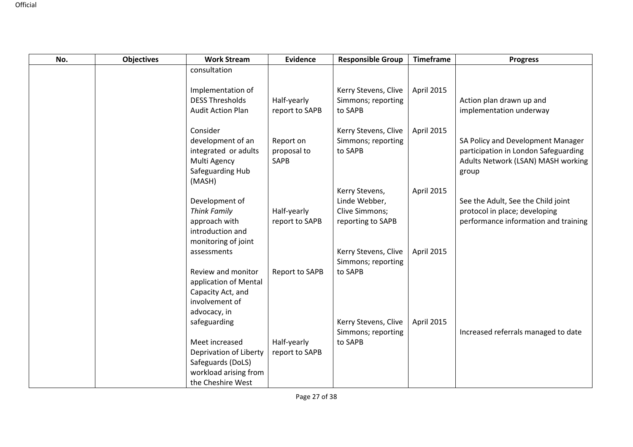| No. | <b>Objectives</b> | <b>Work Stream</b>                                                                                          | <b>Evidence</b>                  | <b>Responsible Group</b>                                               | <b>Timeframe</b> | <b>Progress</b>                                                                                                          |
|-----|-------------------|-------------------------------------------------------------------------------------------------------------|----------------------------------|------------------------------------------------------------------------|------------------|--------------------------------------------------------------------------------------------------------------------------|
|     |                   | consultation                                                                                                |                                  |                                                                        |                  |                                                                                                                          |
|     |                   | Implementation of<br><b>DESS Thresholds</b><br><b>Audit Action Plan</b>                                     | Half-yearly<br>report to SAPB    | Kerry Stevens, Clive<br>Simmons; reporting<br>to SAPB                  | April 2015       | Action plan drawn up and<br>implementation underway                                                                      |
|     |                   | Consider<br>development of an<br>integrated or adults<br>Multi Agency<br>Safeguarding Hub<br>(MASH)         | Report on<br>proposal to<br>SAPB | Kerry Stevens, Clive<br>Simmons; reporting<br>to SAPB                  | April 2015       | SA Policy and Development Manager<br>participation in London Safeguarding<br>Adults Network (LSAN) MASH working<br>group |
|     |                   | Development of<br><b>Think Family</b><br>approach with<br>introduction and<br>monitoring of joint           | Half-yearly<br>report to SAPB    | Kerry Stevens,<br>Linde Webber,<br>Clive Simmons;<br>reporting to SAPB | April 2015       | See the Adult, See the Child joint<br>protocol in place; developing<br>performance information and training              |
|     |                   | assessments                                                                                                 |                                  | Kerry Stevens, Clive<br>Simmons; reporting                             | April 2015       |                                                                                                                          |
|     |                   | Review and monitor<br>application of Mental<br>Capacity Act, and<br>involvement of<br>advocacy, in          | Report to SAPB                   | to SAPB                                                                |                  |                                                                                                                          |
|     |                   | safeguarding                                                                                                |                                  | Kerry Stevens, Clive<br>Simmons; reporting                             | April 2015       | Increased referrals managed to date                                                                                      |
|     |                   | Meet increased<br>Deprivation of Liberty<br>Safeguards (DoLS)<br>workload arising from<br>the Cheshire West | Half-yearly<br>report to SAPB    | to SAPB                                                                |                  |                                                                                                                          |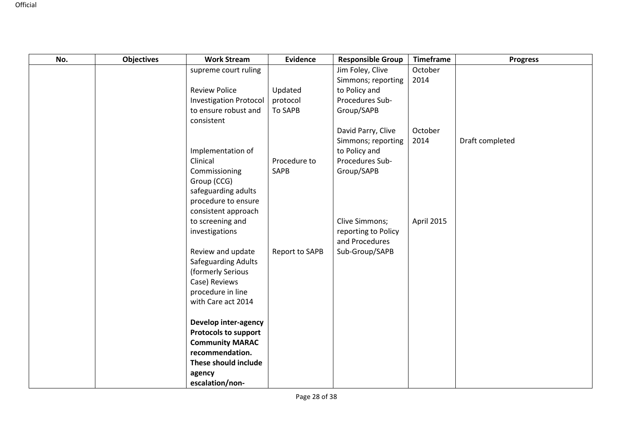| No. | <b>Objectives</b> | <b>Work Stream</b>                 | <b>Evidence</b> | <b>Responsible Group</b> | <b>Timeframe</b> | <b>Progress</b> |
|-----|-------------------|------------------------------------|-----------------|--------------------------|------------------|-----------------|
|     |                   | supreme court ruling               |                 | Jim Foley, Clive         | October          |                 |
|     |                   |                                    |                 | Simmons; reporting       | 2014             |                 |
|     |                   | <b>Review Police</b>               | Updated         | to Policy and            |                  |                 |
|     |                   | <b>Investigation Protocol</b>      | protocol        | Procedures Sub-          |                  |                 |
|     |                   | to ensure robust and<br>consistent | <b>To SAPB</b>  | Group/SAPB               |                  |                 |
|     |                   |                                    |                 | David Parry, Clive       | October          |                 |
|     |                   |                                    |                 | Simmons; reporting       | 2014             | Draft completed |
|     |                   | Implementation of                  |                 | to Policy and            |                  |                 |
|     |                   | Clinical                           | Procedure to    | Procedures Sub-          |                  |                 |
|     |                   | Commissioning                      | <b>SAPB</b>     | Group/SAPB               |                  |                 |
|     |                   | Group (CCG)                        |                 |                          |                  |                 |
|     |                   | safeguarding adults                |                 |                          |                  |                 |
|     |                   | procedure to ensure                |                 |                          |                  |                 |
|     |                   | consistent approach                |                 |                          |                  |                 |
|     |                   | to screening and                   |                 | Clive Simmons;           | April 2015       |                 |
|     |                   | investigations                     |                 | reporting to Policy      |                  |                 |
|     |                   |                                    |                 | and Procedures           |                  |                 |
|     |                   | Review and update                  | Report to SAPB  | Sub-Group/SAPB           |                  |                 |
|     |                   | Safeguarding Adults                |                 |                          |                  |                 |
|     |                   | (formerly Serious                  |                 |                          |                  |                 |
|     |                   | Case) Reviews                      |                 |                          |                  |                 |
|     |                   | procedure in line                  |                 |                          |                  |                 |
|     |                   | with Care act 2014                 |                 |                          |                  |                 |
|     |                   | Develop inter-agency               |                 |                          |                  |                 |
|     |                   | <b>Protocols to support</b>        |                 |                          |                  |                 |
|     |                   | <b>Community MARAC</b>             |                 |                          |                  |                 |
|     |                   | recommendation.                    |                 |                          |                  |                 |
|     |                   | These should include               |                 |                          |                  |                 |
|     |                   | agency                             |                 |                          |                  |                 |
|     |                   | escalation/non-                    |                 |                          |                  |                 |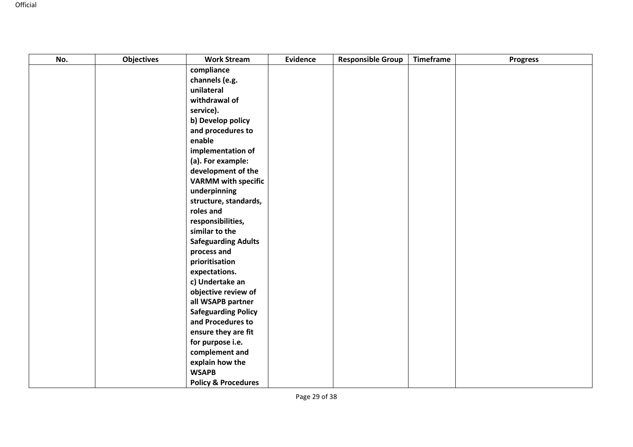| No. | <b>Objectives</b> | <b>Work Stream</b>              | <b>Evidence</b> | <b>Responsible Group</b> | <b>Timeframe</b> | <b>Progress</b> |
|-----|-------------------|---------------------------------|-----------------|--------------------------|------------------|-----------------|
|     |                   | compliance                      |                 |                          |                  |                 |
|     |                   | channels (e.g.                  |                 |                          |                  |                 |
|     |                   | unilateral                      |                 |                          |                  |                 |
|     |                   | withdrawal of                   |                 |                          |                  |                 |
|     |                   | service).                       |                 |                          |                  |                 |
|     |                   | b) Develop policy               |                 |                          |                  |                 |
|     |                   | and procedures to               |                 |                          |                  |                 |
|     |                   | enable                          |                 |                          |                  |                 |
|     |                   | implementation of               |                 |                          |                  |                 |
|     |                   | (a). For example:               |                 |                          |                  |                 |
|     |                   | development of the              |                 |                          |                  |                 |
|     |                   | <b>VARMM</b> with specific      |                 |                          |                  |                 |
|     |                   | underpinning                    |                 |                          |                  |                 |
|     |                   | structure, standards,           |                 |                          |                  |                 |
|     |                   | roles and                       |                 |                          |                  |                 |
|     |                   | responsibilities,               |                 |                          |                  |                 |
|     |                   | similar to the                  |                 |                          |                  |                 |
|     |                   | <b>Safeguarding Adults</b>      |                 |                          |                  |                 |
|     |                   | process and                     |                 |                          |                  |                 |
|     |                   | prioritisation                  |                 |                          |                  |                 |
|     |                   | expectations.                   |                 |                          |                  |                 |
|     |                   | c) Undertake an                 |                 |                          |                  |                 |
|     |                   | objective review of             |                 |                          |                  |                 |
|     |                   | all WSAPB partner               |                 |                          |                  |                 |
|     |                   | <b>Safeguarding Policy</b>      |                 |                          |                  |                 |
|     |                   | and Procedures to               |                 |                          |                  |                 |
|     |                   | ensure they are fit             |                 |                          |                  |                 |
|     |                   | for purpose i.e.                |                 |                          |                  |                 |
|     |                   | complement and                  |                 |                          |                  |                 |
|     |                   | explain how the<br><b>WSAPB</b> |                 |                          |                  |                 |
|     |                   |                                 |                 |                          |                  |                 |
|     |                   | <b>Policy &amp; Procedures</b>  |                 |                          |                  |                 |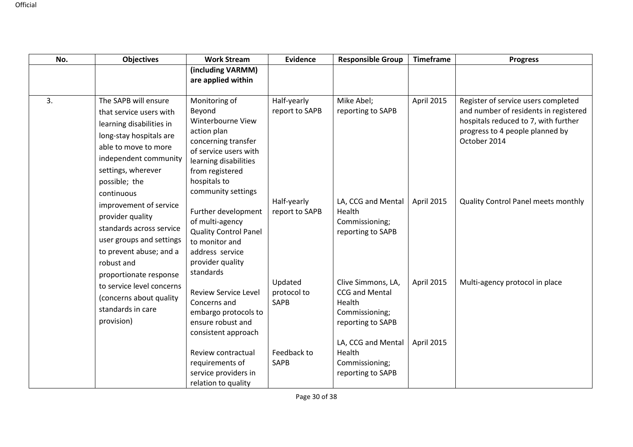| No. | <b>Objectives</b>                                                                                                                                                                                            | <b>Work Stream</b>                                                                                                                                                                            | <b>Evidence</b>                       | <b>Responsible Group</b>                                                              | <b>Timeframe</b> | <b>Progress</b>                                                                                                                                                         |
|-----|--------------------------------------------------------------------------------------------------------------------------------------------------------------------------------------------------------------|-----------------------------------------------------------------------------------------------------------------------------------------------------------------------------------------------|---------------------------------------|---------------------------------------------------------------------------------------|------------------|-------------------------------------------------------------------------------------------------------------------------------------------------------------------------|
|     |                                                                                                                                                                                                              | (including VARMM)<br>are applied within                                                                                                                                                       |                                       |                                                                                       |                  |                                                                                                                                                                         |
| 3.  | The SAPB will ensure<br>that service users with<br>learning disabilities in<br>long-stay hospitals are<br>able to move to more<br>independent community<br>settings, wherever<br>possible; the<br>continuous | Monitoring of<br>Beyond<br>Winterbourne View<br>action plan<br>concerning transfer<br>of service users with<br>learning disabilities<br>from registered<br>hospitals to<br>community settings | Half-yearly<br>report to SAPB         | Mike Abel;<br>reporting to SAPB                                                       | April 2015       | Register of service users completed<br>and number of residents in registered<br>hospitals reduced to 7, with further<br>progress to 4 people planned by<br>October 2014 |
|     | improvement of service<br>provider quality<br>standards across service<br>user groups and settings<br>to prevent abuse; and a<br>robust and                                                                  | Further development<br>of multi-agency<br><b>Quality Control Panel</b><br>to monitor and<br>address service<br>provider quality<br>standards                                                  | Half-yearly<br>report to SAPB         | LA, CCG and Mental<br>Health<br>Commissioning;<br>reporting to SAPB                   | April 2015       | Quality Control Panel meets monthly                                                                                                                                     |
|     | proportionate response<br>to service level concerns<br>(concerns about quality<br>standards in care<br>provision)                                                                                            | <b>Review Service Level</b><br>Concerns and<br>embargo protocols to<br>ensure robust and<br>consistent approach                                                                               | Updated<br>protocol to<br><b>SAPB</b> | Clive Simmons, LA,<br>CCG and Mental<br>Health<br>Commissioning;<br>reporting to SAPB | April 2015       | Multi-agency protocol in place                                                                                                                                          |
|     |                                                                                                                                                                                                              | Review contractual<br>requirements of<br>service providers in<br>relation to quality                                                                                                          | Feedback to<br>SAPB                   | LA, CCG and Mental<br>Health<br>Commissioning;<br>reporting to SAPB                   | April 2015       |                                                                                                                                                                         |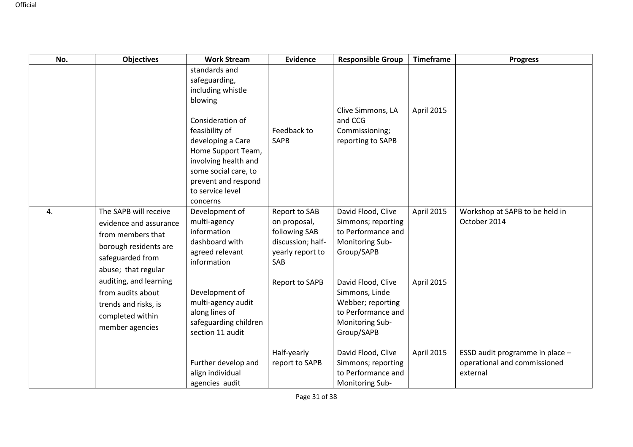| No. | <b>Objectives</b>                                                                                                                        | <b>Work Stream</b>                                                                                                                                                                                                                                     | <b>Evidence</b>                                                                                | <b>Responsible Group</b>                                                                                         | <b>Timeframe</b> | <b>Progress</b>                                                             |
|-----|------------------------------------------------------------------------------------------------------------------------------------------|--------------------------------------------------------------------------------------------------------------------------------------------------------------------------------------------------------------------------------------------------------|------------------------------------------------------------------------------------------------|------------------------------------------------------------------------------------------------------------------|------------------|-----------------------------------------------------------------------------|
|     |                                                                                                                                          | standards and<br>safeguarding,<br>including whistle<br>blowing<br>Consideration of<br>feasibility of<br>developing a Care<br>Home Support Team,<br>involving health and<br>some social care, to<br>prevent and respond<br>to service level<br>concerns | Feedback to<br>SAPB                                                                            | Clive Simmons, LA<br>and CCG<br>Commissioning;<br>reporting to SAPB                                              | April 2015       |                                                                             |
| 4.  | The SAPB will receive<br>evidence and assurance<br>from members that<br>borough residents are<br>safeguarded from<br>abuse; that regular | Development of<br>multi-agency<br>information<br>dashboard with<br>agreed relevant<br>information                                                                                                                                                      | Report to SAB<br>on proposal,<br>following SAB<br>discussion; half-<br>yearly report to<br>SAB | David Flood, Clive<br>Simmons; reporting<br>to Performance and<br>Monitoring Sub-<br>Group/SAPB                  | April 2015       | Workshop at SAPB to be held in<br>October 2014                              |
|     | auditing, and learning<br>from audits about<br>trends and risks, is<br>completed within<br>member agencies                               | Development of<br>multi-agency audit<br>along lines of<br>safeguarding children<br>section 11 audit                                                                                                                                                    | Report to SAPB                                                                                 | David Flood, Clive<br>Simmons, Linde<br>Webber; reporting<br>to Performance and<br>Monitoring Sub-<br>Group/SAPB | April 2015       |                                                                             |
|     |                                                                                                                                          | Further develop and<br>align individual<br>agencies audit                                                                                                                                                                                              | Half-yearly<br>report to SAPB                                                                  | David Flood, Clive<br>Simmons; reporting<br>to Performance and<br>Monitoring Sub-                                | April 2015       | ESSD audit programme in place -<br>operational and commissioned<br>external |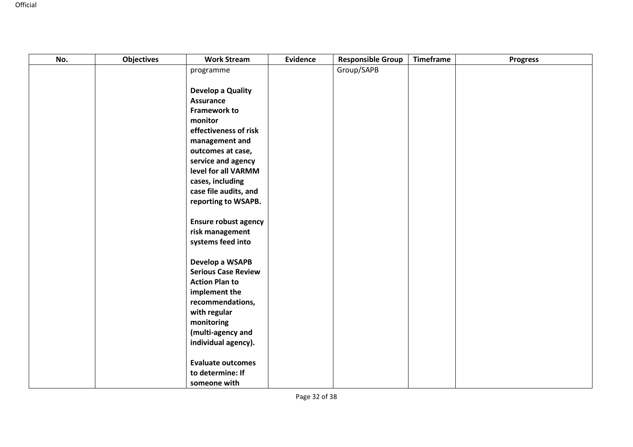| No. | <b>Objectives</b> | <b>Work Stream</b>                        | Evidence | <b>Responsible Group</b> | Timeframe | <b>Progress</b> |
|-----|-------------------|-------------------------------------------|----------|--------------------------|-----------|-----------------|
|     |                   | programme                                 |          | Group/SAPB               |           |                 |
|     |                   |                                           |          |                          |           |                 |
|     |                   | Develop a Quality                         |          |                          |           |                 |
|     |                   | <b>Assurance</b>                          |          |                          |           |                 |
|     |                   | <b>Framework to</b>                       |          |                          |           |                 |
|     |                   | monitor                                   |          |                          |           |                 |
|     |                   | effectiveness of risk                     |          |                          |           |                 |
|     |                   | management and                            |          |                          |           |                 |
|     |                   | outcomes at case,                         |          |                          |           |                 |
|     |                   | service and agency<br>level for all VARMM |          |                          |           |                 |
|     |                   | cases, including                          |          |                          |           |                 |
|     |                   | case file audits, and                     |          |                          |           |                 |
|     |                   | reporting to WSAPB.                       |          |                          |           |                 |
|     |                   |                                           |          |                          |           |                 |
|     |                   | <b>Ensure robust agency</b>               |          |                          |           |                 |
|     |                   | risk management                           |          |                          |           |                 |
|     |                   | systems feed into                         |          |                          |           |                 |
|     |                   |                                           |          |                          |           |                 |
|     |                   | Develop a WSAPB                           |          |                          |           |                 |
|     |                   | <b>Serious Case Review</b>                |          |                          |           |                 |
|     |                   | <b>Action Plan to</b>                     |          |                          |           |                 |
|     |                   | implement the                             |          |                          |           |                 |
|     |                   | recommendations,                          |          |                          |           |                 |
|     |                   | with regular                              |          |                          |           |                 |
|     |                   | monitoring<br>(multi-agency and           |          |                          |           |                 |
|     |                   | individual agency).                       |          |                          |           |                 |
|     |                   |                                           |          |                          |           |                 |
|     |                   | <b>Evaluate outcomes</b>                  |          |                          |           |                 |
|     |                   | to determine: If                          |          |                          |           |                 |
|     |                   | someone with                              |          |                          |           |                 |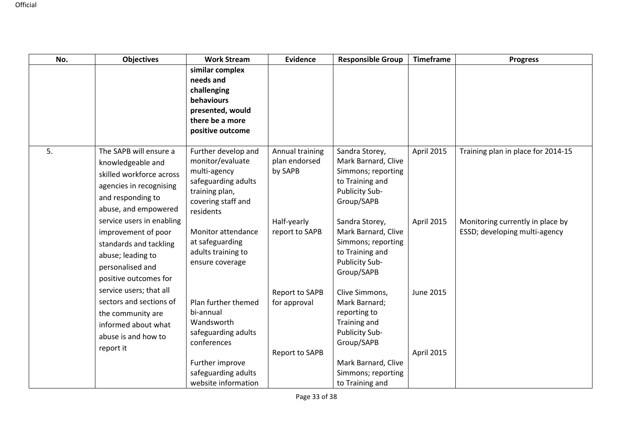| No. | <b>Objectives</b>                                                                                                                               | <b>Work Stream</b>                                                                                                                  | <b>Evidence</b>                                                | <b>Responsible Group</b>                                                                                       | <b>Timeframe</b>        | <b>Progress</b>                                                   |
|-----|-------------------------------------------------------------------------------------------------------------------------------------------------|-------------------------------------------------------------------------------------------------------------------------------------|----------------------------------------------------------------|----------------------------------------------------------------------------------------------------------------|-------------------------|-------------------------------------------------------------------|
|     |                                                                                                                                                 | similar complex<br>needs and<br>challenging<br>behaviours<br>presented, would<br>there be a more<br>positive outcome                |                                                                |                                                                                                                |                         |                                                                   |
| 5.  | The SAPB will ensure a<br>knowledgeable and<br>skilled workforce across<br>agencies in recognising<br>and responding to<br>abuse, and empowered | Further develop and<br>monitor/evaluate<br>multi-agency<br>safeguarding adults<br>training plan,<br>covering staff and<br>residents | Annual training<br>plan endorsed<br>by SAPB                    | Sandra Storey,<br>Mark Barnard, Clive<br>Simmons; reporting<br>to Training and<br>Publicity Sub-<br>Group/SAPB | April 2015              | Training plan in place for 2014-15                                |
|     | service users in enabling<br>improvement of poor<br>standards and tackling<br>abuse; leading to<br>personalised and<br>positive outcomes for    | Monitor attendance<br>at safeguarding<br>adults training to<br>ensure coverage                                                      | Half-yearly<br>report to SAPB                                  | Sandra Storey,<br>Mark Barnard, Clive<br>Simmons; reporting<br>to Training and<br>Publicity Sub-<br>Group/SAPB | April 2015              | Monitoring currently in place by<br>ESSD; developing multi-agency |
|     | service users; that all<br>sectors and sections of<br>the community are<br>informed about what<br>abuse is and how to<br>report it              | Plan further themed<br>bi-annual<br>Wandsworth<br>safeguarding adults<br>conferences                                                | <b>Report to SAPB</b><br>for approval<br><b>Report to SAPB</b> | Clive Simmons,<br>Mark Barnard;<br>reporting to<br>Training and<br>Publicity Sub-<br>Group/SAPB                | June 2015<br>April 2015 |                                                                   |
|     |                                                                                                                                                 | Further improve<br>safeguarding adults<br>website information                                                                       |                                                                | Mark Barnard, Clive<br>Simmons; reporting<br>to Training and                                                   |                         |                                                                   |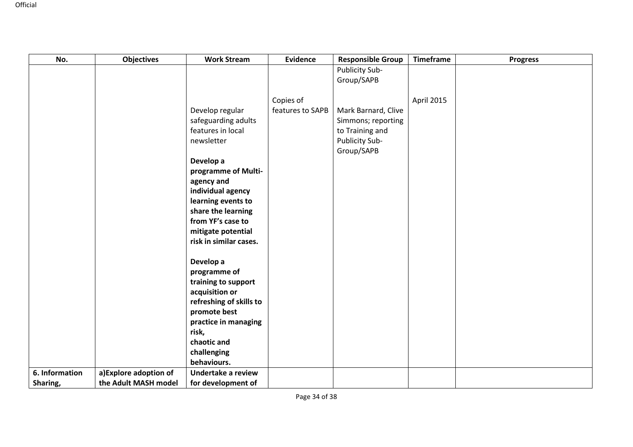| No.                        | <b>Objectives</b>                              | <b>Work Stream</b>                                                                 | <b>Evidence</b>               | <b>Responsible Group</b>                                | <b>Timeframe</b> | <b>Progress</b> |
|----------------------------|------------------------------------------------|------------------------------------------------------------------------------------|-------------------------------|---------------------------------------------------------|------------------|-----------------|
|                            |                                                |                                                                                    |                               | Publicity Sub-<br>Group/SAPB                            |                  |                 |
|                            |                                                | Develop regular                                                                    | Copies of<br>features to SAPB | Mark Barnard, Clive                                     | April 2015       |                 |
|                            |                                                | safeguarding adults<br>features in local<br>newsletter                             |                               | Simmons; reporting<br>to Training and<br>Publicity Sub- |                  |                 |
|                            |                                                | Develop a<br>programme of Multi-<br>agency and                                     |                               | Group/SAPB                                              |                  |                 |
|                            |                                                | individual agency<br>learning events to<br>share the learning<br>from YF's case to |                               |                                                         |                  |                 |
|                            |                                                | mitigate potential<br>risk in similar cases.                                       |                               |                                                         |                  |                 |
|                            |                                                | Develop a<br>programme of<br>training to support                                   |                               |                                                         |                  |                 |
|                            |                                                | acquisition or<br>refreshing of skills to<br>promote best                          |                               |                                                         |                  |                 |
|                            |                                                | practice in managing<br>risk,<br>chaotic and                                       |                               |                                                         |                  |                 |
|                            |                                                | challenging<br>behaviours.                                                         |                               |                                                         |                  |                 |
| 6. Information<br>Sharing, | a) Explore adoption of<br>the Adult MASH model | Undertake a review<br>for development of                                           |                               |                                                         |                  |                 |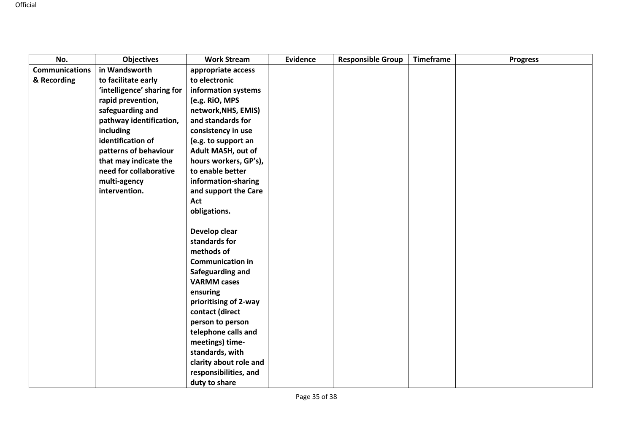| No.                   | <b>Objectives</b>          | <b>Work Stream</b>      | <b>Evidence</b> | <b>Responsible Group</b> | <b>Timeframe</b> | <b>Progress</b> |
|-----------------------|----------------------------|-------------------------|-----------------|--------------------------|------------------|-----------------|
| <b>Communications</b> | in Wandsworth              | appropriate access      |                 |                          |                  |                 |
| & Recording           | to facilitate early        | to electronic           |                 |                          |                  |                 |
|                       | 'intelligence' sharing for | information systems     |                 |                          |                  |                 |
|                       | rapid prevention,          | (e.g. RiO, MPS          |                 |                          |                  |                 |
|                       | safeguarding and           | network, NHS, EMIS)     |                 |                          |                  |                 |
|                       | pathway identification,    | and standards for       |                 |                          |                  |                 |
|                       | including                  | consistency in use      |                 |                          |                  |                 |
|                       | identification of          | (e.g. to support an     |                 |                          |                  |                 |
|                       | patterns of behaviour      | Adult MASH, out of      |                 |                          |                  |                 |
|                       | that may indicate the      | hours workers, GP's),   |                 |                          |                  |                 |
|                       | need for collaborative     | to enable better        |                 |                          |                  |                 |
|                       | multi-agency               | information-sharing     |                 |                          |                  |                 |
|                       | intervention.              | and support the Care    |                 |                          |                  |                 |
|                       |                            | Act                     |                 |                          |                  |                 |
|                       |                            | obligations.            |                 |                          |                  |                 |
|                       |                            |                         |                 |                          |                  |                 |
|                       |                            | Develop clear           |                 |                          |                  |                 |
|                       |                            | standards for           |                 |                          |                  |                 |
|                       |                            | methods of              |                 |                          |                  |                 |
|                       |                            | <b>Communication in</b> |                 |                          |                  |                 |
|                       |                            | Safeguarding and        |                 |                          |                  |                 |
|                       |                            | <b>VARMM cases</b>      |                 |                          |                  |                 |
|                       |                            | ensuring                |                 |                          |                  |                 |
|                       |                            | prioritising of 2-way   |                 |                          |                  |                 |
|                       |                            | contact (direct         |                 |                          |                  |                 |
|                       |                            | person to person        |                 |                          |                  |                 |
|                       |                            | telephone calls and     |                 |                          |                  |                 |
|                       |                            | meetings) time-         |                 |                          |                  |                 |
|                       |                            | standards, with         |                 |                          |                  |                 |
|                       |                            | clarity about role and  |                 |                          |                  |                 |
|                       |                            | responsibilities, and   |                 |                          |                  |                 |
|                       |                            | duty to share           |                 |                          |                  |                 |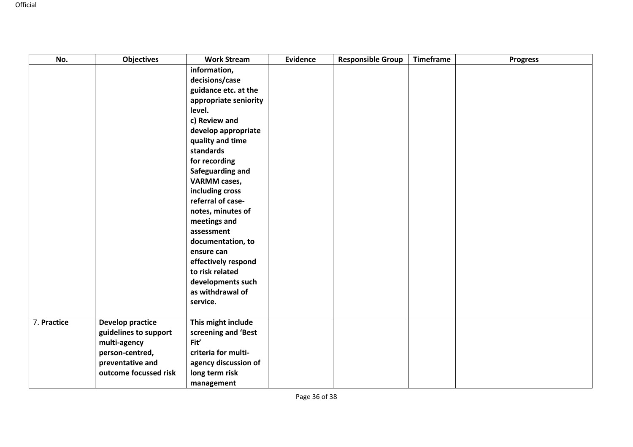| No.         | <b>Objectives</b>       | <b>Work Stream</b>              | <b>Evidence</b> | <b>Responsible Group</b> | <b>Timeframe</b> | <b>Progress</b> |
|-------------|-------------------------|---------------------------------|-----------------|--------------------------|------------------|-----------------|
|             |                         | information,                    |                 |                          |                  |                 |
|             |                         | decisions/case                  |                 |                          |                  |                 |
|             |                         | guidance etc. at the            |                 |                          |                  |                 |
|             |                         | appropriate seniority           |                 |                          |                  |                 |
|             |                         | level.                          |                 |                          |                  |                 |
|             |                         | c) Review and                   |                 |                          |                  |                 |
|             |                         | develop appropriate             |                 |                          |                  |                 |
|             |                         | quality and time                |                 |                          |                  |                 |
|             |                         | standards                       |                 |                          |                  |                 |
|             |                         | for recording                   |                 |                          |                  |                 |
|             |                         | Safeguarding and                |                 |                          |                  |                 |
|             |                         | <b>VARMM</b> cases,             |                 |                          |                  |                 |
|             |                         | including cross                 |                 |                          |                  |                 |
|             |                         | referral of case-               |                 |                          |                  |                 |
|             |                         | notes, minutes of               |                 |                          |                  |                 |
|             |                         | meetings and                    |                 |                          |                  |                 |
|             |                         | assessment                      |                 |                          |                  |                 |
|             |                         | documentation, to<br>ensure can |                 |                          |                  |                 |
|             |                         | effectively respond             |                 |                          |                  |                 |
|             |                         | to risk related                 |                 |                          |                  |                 |
|             |                         | developments such               |                 |                          |                  |                 |
|             |                         | as withdrawal of                |                 |                          |                  |                 |
|             |                         | service.                        |                 |                          |                  |                 |
|             |                         |                                 |                 |                          |                  |                 |
| 7. Practice | <b>Develop practice</b> | This might include              |                 |                          |                  |                 |
|             | guidelines to support   | screening and 'Best             |                 |                          |                  |                 |
|             | multi-agency            | Fit'                            |                 |                          |                  |                 |
|             | person-centred,         | criteria for multi-             |                 |                          |                  |                 |
|             | preventative and        | agency discussion of            |                 |                          |                  |                 |
|             | outcome focussed risk   | long term risk                  |                 |                          |                  |                 |
|             |                         | management                      |                 |                          |                  |                 |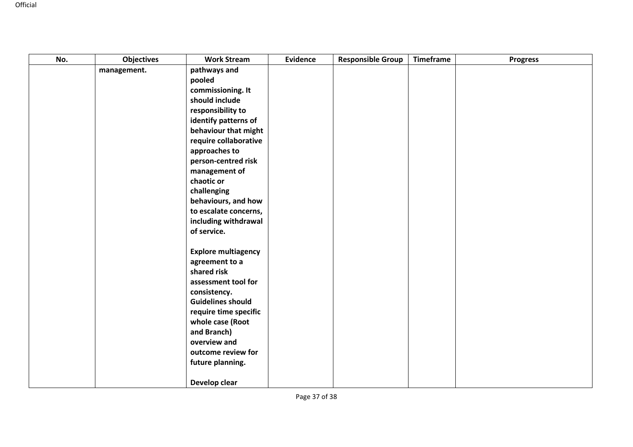| No. | <b>Objectives</b> | <b>Work Stream</b>            | <b>Evidence</b> | <b>Responsible Group</b> | Timeframe | <b>Progress</b> |
|-----|-------------------|-------------------------------|-----------------|--------------------------|-----------|-----------------|
|     | management.       | pathways and                  |                 |                          |           |                 |
|     |                   | pooled                        |                 |                          |           |                 |
|     |                   | commissioning. It             |                 |                          |           |                 |
|     |                   | should include                |                 |                          |           |                 |
|     |                   | responsibility to             |                 |                          |           |                 |
|     |                   | identify patterns of          |                 |                          |           |                 |
|     |                   | behaviour that might          |                 |                          |           |                 |
|     |                   | require collaborative         |                 |                          |           |                 |
|     |                   | approaches to                 |                 |                          |           |                 |
|     |                   | person-centred risk           |                 |                          |           |                 |
|     |                   | management of                 |                 |                          |           |                 |
|     |                   | chaotic or                    |                 |                          |           |                 |
|     |                   | challenging                   |                 |                          |           |                 |
|     |                   | behaviours, and how           |                 |                          |           |                 |
|     |                   | to escalate concerns,         |                 |                          |           |                 |
|     |                   | including withdrawal          |                 |                          |           |                 |
|     |                   | of service.                   |                 |                          |           |                 |
|     |                   |                               |                 |                          |           |                 |
|     |                   | <b>Explore multiagency</b>    |                 |                          |           |                 |
|     |                   | agreement to a<br>shared risk |                 |                          |           |                 |
|     |                   | assessment tool for           |                 |                          |           |                 |
|     |                   | consistency.                  |                 |                          |           |                 |
|     |                   | <b>Guidelines should</b>      |                 |                          |           |                 |
|     |                   | require time specific         |                 |                          |           |                 |
|     |                   | whole case (Root              |                 |                          |           |                 |
|     |                   | and Branch)                   |                 |                          |           |                 |
|     |                   | overview and                  |                 |                          |           |                 |
|     |                   | outcome review for            |                 |                          |           |                 |
|     |                   | future planning.              |                 |                          |           |                 |
|     |                   |                               |                 |                          |           |                 |
|     |                   | Develop clear                 |                 |                          |           |                 |